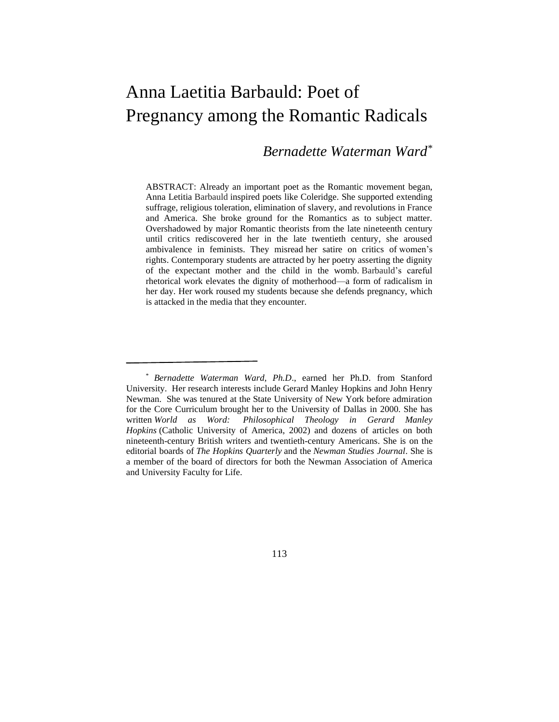## Anna Laetitia Barbauld: Poet of Pregnancy among the Romantic Radicals

## *Bernadette Waterman Ward\**

ABSTRACT: Already an important poet as the Romantic movement began, Anna Letitia Barbauld inspired poets like Coleridge. She supported extending suffrage, religious toleration, elimination of slavery, and revolutions in France and America. She broke ground for the Romantics as to subject matter. Overshadowed by major Romantic theorists from the late nineteenth century until critics rediscovered her in the late twentieth century, she aroused ambivalence in feminists. They misread her satire on critics of women's rights. Contemporary students are attracted by her poetry asserting the dignity of the expectant mother and the child in the womb. Barbauld's careful rhetorical work elevates the dignity of motherhood—a form of radicalism in her day. Her work roused my students because she defends pregnancy, which is attacked in the media that they encounter.

113

<sup>\*</sup> *Bernadette Waterman Ward, Ph.D*., earned her Ph.D. from Stanford University. Her research interests include Gerard Manley Hopkins and John Henry Newman. She was tenured at the State University of New York before admiration for the Core Curriculum brought her to the University of Dallas in 2000. She has written *World as Word: Philosophical Theology in Gerard Manley Hopkins* (Catholic University of America, 2002) and dozens of articles on both nineteenth-century British writers and twentieth-century Americans. She is on the editorial boards of *The Hopkins Quarterly* and the *Newman Studies Journal*. She is a member of the board of directors for both the Newman Association of America and University Faculty for Life.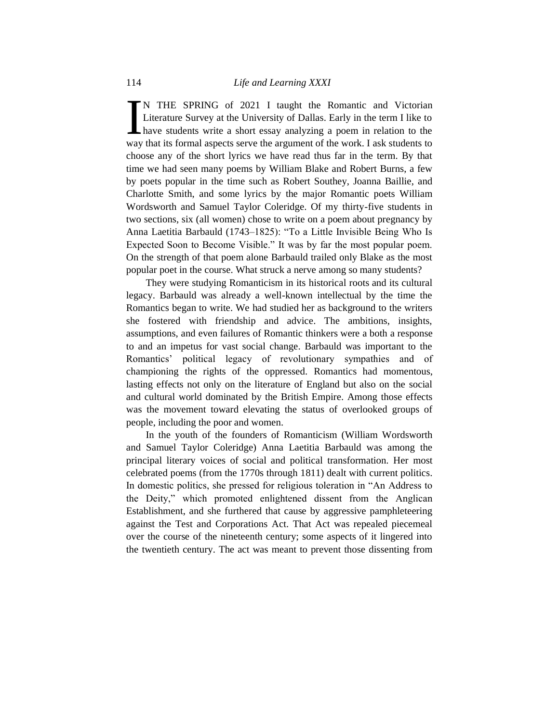N THE SPRING of 2021 I taught the Romantic and Victorian Literature Survey at the University of Dallas. Early in the term I like to have students write a short essay analyzing a poem in relation to the N THE SPRING of 2021 I taught the Romantic and Victorian<br>Literature Survey at the University of Dallas. Early in the term I like to<br>have students write a short essay analyzing a poem in relation to the<br>way that its formal choose any of the short lyrics we have read thus far in the term. By that time we had seen many poems by William Blake and Robert Burns, a few by poets popular in the time such as Robert Southey, Joanna Baillie, and Charlotte Smith, and some lyrics by the major Romantic poets William Wordsworth and Samuel Taylor Coleridge. Of my thirty-five students in two sections, six (all women) chose to write on a poem about pregnancy by Anna Laetitia Barbauld (1743–1825): "To a Little Invisible Being Who Is Expected Soon to Become Visible." It was by far the most popular poem. On the strength of that poem alone Barbauld trailed only Blake as the most popular poet in the course. What struck a nerve among so many students?

They were studying Romanticism in its historical roots and its cultural legacy. Barbauld was already a well-known intellectual by the time the Romantics began to write. We had studied her as background to the writers she fostered with friendship and advice. The ambitions, insights, assumptions, and even failures of Romantic thinkers were a both a response to and an impetus for vast social change. Barbauld was important to the Romantics' political legacy of revolutionary sympathies and of championing the rights of the oppressed. Romantics had momentous, lasting effects not only on the literature of England but also on the social and cultural world dominated by the British Empire. Among those effects was the movement toward elevating the status of overlooked groups of people, including the poor and women.

In the youth of the founders of Romanticism (William Wordsworth and Samuel Taylor Coleridge) Anna Laetitia Barbauld was among the principal literary voices of social and political transformation. Her most celebrated poems (from the 1770s through 1811) dealt with current politics. In domestic politics, she pressed for religious toleration in "An Address to the Deity," which promoted enlightened dissent from the Anglican Establishment, and she furthered that cause by aggressive pamphleteering against the Test and Corporations Act. That Act was repealed piecemeal over the course of the nineteenth century; some aspects of it lingered into the twentieth century. The act was meant to prevent those dissenting from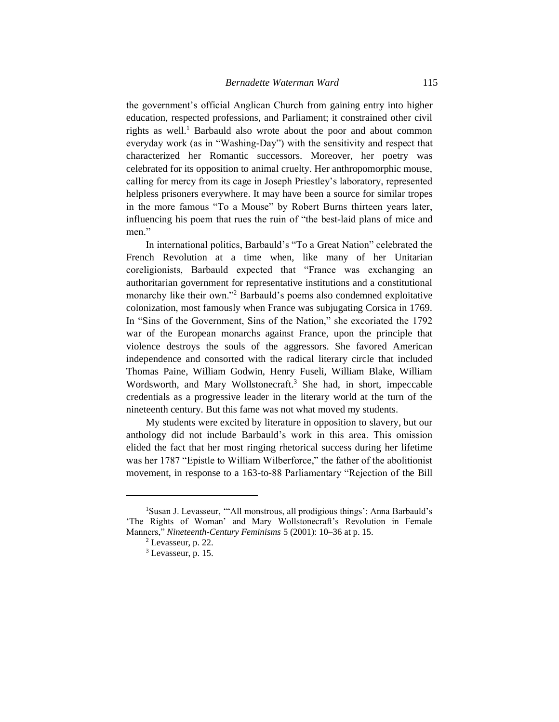the government's official Anglican Church from gaining entry into higher education, respected professions, and Parliament; it constrained other civil rights as well.<sup>1</sup> Barbauld also wrote about the poor and about common everyday work (as in "Washing-Day") with the sensitivity and respect that characterized her Romantic successors. Moreover, her poetry was celebrated for its opposition to animal cruelty. Her anthropomorphic mouse, calling for mercy from its cage in Joseph Priestley's laboratory, represented helpless prisoners everywhere. It may have been a source for similar tropes in the more famous "To a Mouse" by Robert Burns thirteen years later, influencing his poem that rues the ruin of "the best-laid plans of mice and men."

In international politics, Barbauld's "To a Great Nation" celebrated the French Revolution at a time when, like many of her Unitarian coreligionists, Barbauld expected that "France was exchanging an authoritarian government for representative institutions and a constitutional monarchy like their own."<sup>2</sup> Barbauld's poems also condemned exploitative colonization, most famously when France was subjugating Corsica in 1769. In "Sins of the Government, Sins of the Nation," she excoriated the 1792 war of the European monarchs against France, upon the principle that violence destroys the souls of the aggressors. She favored American independence and consorted with the radical literary circle that included Thomas Paine, William Godwin, Henry Fuseli, William Blake, William Wordsworth, and Mary Wollstonecraft.<sup>3</sup> She had, in short, impeccable credentials as a progressive leader in the literary world at the turn of the nineteenth century. But this fame was not what moved my students.

My students were excited by literature in opposition to slavery, but our anthology did not include Barbauld's work in this area. This omission elided the fact that her most ringing rhetorical success during her lifetime was her 1787 "Epistle to William Wilberforce," the father of the abolitionist movement, in response to a 163-to-88 Parliamentary "Rejection of the Bill

<sup>&</sup>lt;sup>1</sup>Susan J. Levasseur, "All monstrous, all prodigious things': Anna Barbauld's 'The Rights of Woman' and Mary Wollstonecraft's Revolution in Female Manners," *Nineteenth-Century Feminisms* 5 (2001): 10–36 at p. 15.

<sup>2</sup> Levasseur, p. 22.

<sup>3</sup> Levasseur, p. 15.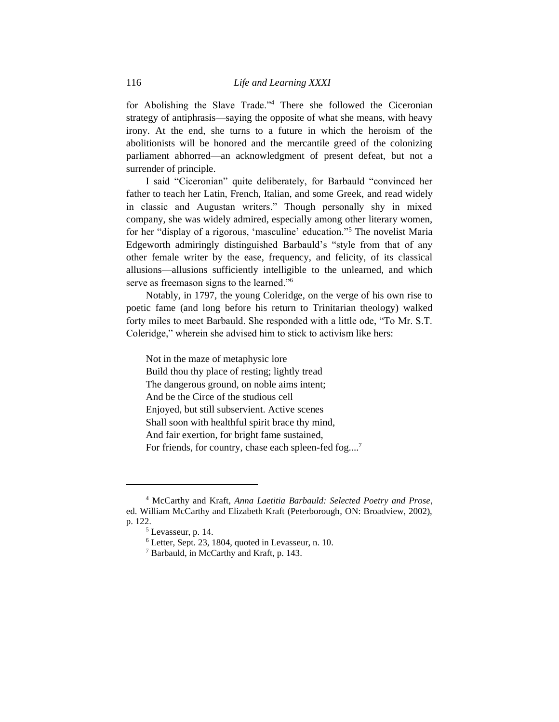for Abolishing the Slave Trade."<sup>4</sup> There she followed the Ciceronian strategy of antiphrasis—saying the opposite of what she means, with heavy irony. At the end, she turns to a future in which the heroism of the abolitionists will be honored and the mercantile greed of the colonizing parliament abhorred—an acknowledgment of present defeat, but not a surrender of principle.

I said "Ciceronian" quite deliberately, for Barbauld "convinced her father to teach her Latin, French, Italian, and some Greek, and read widely in classic and Augustan writers." Though personally shy in mixed company, she was widely admired, especially among other literary women, for her "display of a rigorous, 'masculine' education."<sup>5</sup> The novelist Maria Edgeworth admiringly distinguished Barbauld's "style from that of any other female writer by the ease, frequency, and felicity, of its classical allusions—allusions sufficiently intelligible to the unlearned, and which serve as freemason signs to the learned."<sup>6</sup>

Notably, in 1797, the young Coleridge, on the verge of his own rise to poetic fame (and long before his return to Trinitarian theology) walked forty miles to meet Barbauld. She responded with a little ode, "To Mr. S.T. Coleridge," wherein she advised him to stick to activism like hers:

Not in the maze of metaphysic lore Build thou thy place of resting; lightly tread The dangerous ground, on noble aims intent; And be the Circe of the studious cell Enjoyed, but still subservient. Active scenes Shall soon with healthful spirit brace thy mind, And fair exertion, for bright fame sustained, For friends, for country, chase each spleen-fed fog....<sup>7</sup>

<sup>4</sup> McCarthy and Kraft, *Anna Laetitia Barbauld: Selected Poetry and Prose*, ed. William McCarthy and Elizabeth Kraft (Peterborough, ON: Broadview, 2002), p. 122.

<sup>5</sup> Levasseur, p. 14.

<sup>6</sup> Letter, Sept. 23, 1804, quoted in Levasseur, n. 10.

<sup>7</sup> Barbauld, in McCarthy and Kraft, p. 143.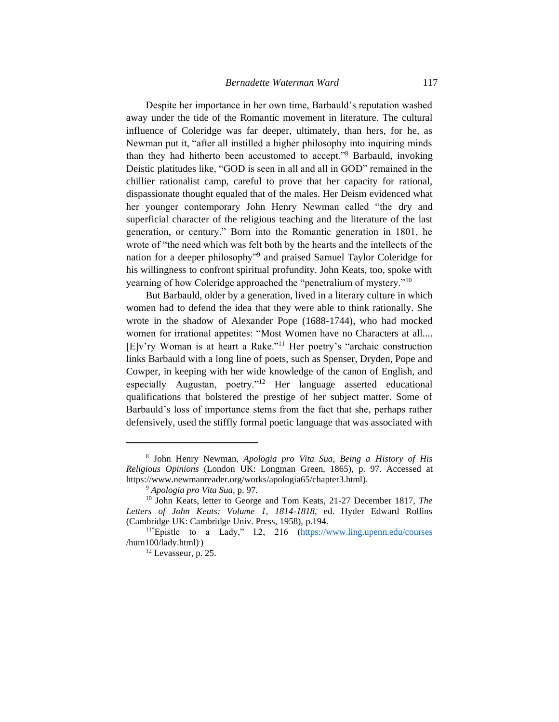Despite her importance in her own time, Barbauld's reputation washed away under the tide of the Romantic movement in literature. The cultural influence of Coleridge was far deeper, ultimately, than hers, for he, as Newman put it, "after all instilled a higher philosophy into inquiring minds than they had hitherto been accustomed to accept."<sup>8</sup> Barbauld, invoking Deistic platitudes like, "GOD is seen in all and all in GOD" remained in the chillier rationalist camp, careful to prove that her capacity for rational, dispassionate thought equaled that of the males. Her Deism evidenced what her younger contemporary John Henry Newman called "the dry and superficial character of the religious teaching and the literature of the last generation, or century." Born into the Romantic generation in 1801, he wrote of "the need which was felt both by the hearts and the intellects of the nation for a deeper philosophy"<sup>9</sup> and praised Samuel Taylor Coleridge for his willingness to confront spiritual profundity. John Keats, too, spoke with yearning of how Coleridge approached the "penetralium of mystery."<sup>10</sup>

But Barbauld, older by a generation, lived in a literary culture in which women had to defend the idea that they were able to think rationally. She wrote in the shadow of Alexander Pope (1688-1744), who had mocked women for irrational appetites: "Most Women have no Characters at all.... [E]v'ry Woman is at heart a Rake."<sup>11</sup> Her poetry's "archaic construction links Barbauld with a long line of poets, such as Spenser, Dryden, Pope and Cowper, in keeping with her wide knowledge of the canon of English, and especially Augustan, poetry."<sup>12</sup> Her language asserted educational qualifications that bolstered the prestige of her subject matter. Some of Barbauld's loss of importance stems from the fact that she, perhaps rather defensively, used the stiffly formal poetic language that was associated with

<sup>8</sup> John Henry Newman, *Apologia pro Vita Sua*, *Being a History of His Religious Opinions* (London UK: Longman Green, 1865), p. 97. Accessed at https://www.newmanreader.org/works/apologia65/chapter3.html).

<sup>9</sup> *Apologia pro Vita Sua*, p. 97.

<sup>10</sup> John Keats, letter to George and Tom Keats, 21-27 December 1817, *The Letters of John Keats: Volume 1, 1814-1818*, ed. Hyder Edward Rollins (Cambridge UK: Cambridge Univ. Press, 1958), p.194.

<sup>&</sup>lt;sup>11"</sup>Epistle to a Lady," 1.2, 216 [\(https://www.ling.upenn.edu/courses](https://www.ling.upenn.edu/courses) /hum100/lady.html)<sup>.</sup>)

<sup>12</sup> Levasseur, p. 25.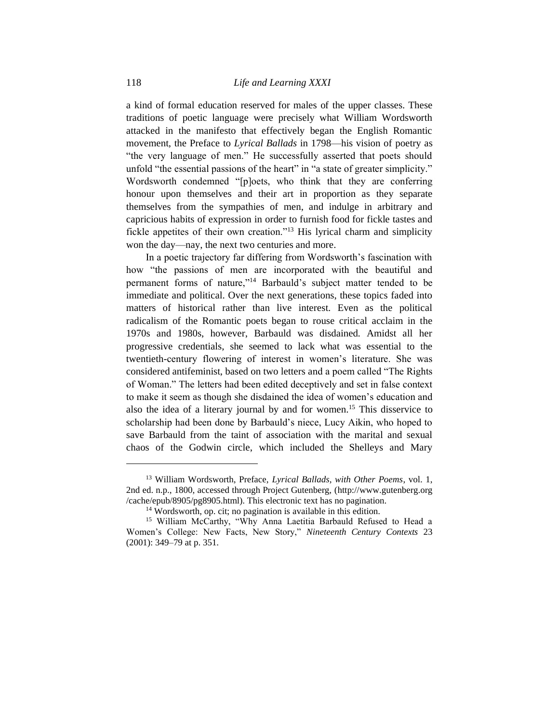a kind of formal education reserved for males of the upper classes. These traditions of poetic language were precisely what William Wordsworth attacked in the manifesto that effectively began the English Romantic movement, the Preface to *Lyrical Ballads* in 1798—his vision of poetry as "the very language of men." He successfully asserted that poets should unfold "the essential passions of the heart" in "a state of greater simplicity." Wordsworth condemned "[p]oets, who think that they are conferring honour upon themselves and their art in proportion as they separate themselves from the sympathies of men, and indulge in arbitrary and capricious habits of expression in order to furnish food for fickle tastes and fickle appetites of their own creation."<sup>13</sup> His lyrical charm and simplicity won the day—nay, the next two centuries and more.

In a poetic trajectory far differing from Wordsworth's fascination with how "the passions of men are incorporated with the beautiful and permanent forms of nature,"<sup>14</sup> Barbauld's subject matter tended to be immediate and political. Over the next generations, these topics faded into matters of historical rather than live interest. Even as the political radicalism of the Romantic poets began to rouse critical acclaim in the 1970s and 1980s, however, Barbauld was disdained. Amidst all her progressive credentials, she seemed to lack what was essential to the twentieth-century flowering of interest in women's literature. She was considered antifeminist, based on two letters and a poem called "The Rights of Woman." The letters had been edited deceptively and set in false context to make it seem as though she disdained the idea of women's education and also the idea of a literary journal by and for women.<sup>15</sup> This disservice to scholarship had been done by Barbauld's niece, Lucy Aikin, who hoped to save Barbauld from the taint of association with the marital and sexual chaos of the Godwin circle, which included the Shelleys and Mary

<sup>13</sup> William Wordsworth, Preface, *Lyrical Ballads, with Other Poems*, vol. 1, 2nd ed. n.p., 1800, accessed through Project Gutenberg, [\(http://www.gutenberg.org](http://www.gutenberg.org/) /cache/epub/8905/pg8905.html). This electronic text has no pagination.

<sup>&</sup>lt;sup>14</sup> Wordsworth, op. cit; no pagination is available in this edition.

<sup>&</sup>lt;sup>15</sup> William McCarthy, "Why Anna Laetitia Barbauld Refused to Head a Women's College: New Facts, New Story," *Nineteenth Century Contexts* 23 (2001): 349–79 at p. 351.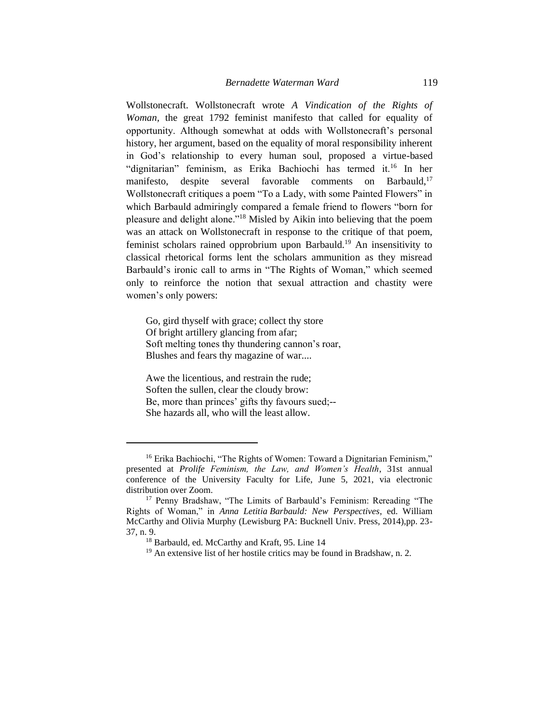Wollstonecraft. Wollstonecraft wrote *A Vindication of the Rights of Woman,* the great 1792 feminist manifesto that called for equality of opportunity. Although somewhat at odds with Wollstonecraft's personal history, her argument, based on the equality of moral responsibility inherent in God's relationship to every human soul, proposed a virtue-based "dignitarian" feminism, as Erika Bachiochi has termed it.<sup>16</sup> In her manifesto, despite several favorable comments on Barbauld,<sup>17</sup> Wollstonecraft critiques a poem "To a Lady, with some Painted Flowers" in which Barbauld admiringly compared a female friend to flowers "born for pleasure and delight alone."<sup>18</sup> Misled by Aikin into believing that the poem was an attack on Wollstonecraft in response to the critique of that poem, feminist scholars rained opprobrium upon Barbauld.<sup>19</sup> An insensitivity to classical rhetorical forms lent the scholars ammunition as they misread Barbauld's ironic call to arms in "The Rights of Woman," which seemed only to reinforce the notion that sexual attraction and chastity were women's only powers:

Go, gird thyself with grace; collect thy store Of bright artillery glancing from afar; Soft melting tones thy thundering cannon's roar, Blushes and fears thy magazine of war....

Awe the licentious, and restrain the rude; Soften the sullen, clear the cloudy brow: Be, more than princes' gifts thy favours sued;-- She hazards all, who will the least allow.

<sup>&</sup>lt;sup>16</sup> Erika Bachiochi, "The Rights of Women: Toward a Dignitarian Feminism," presented at *Prolife Feminism, the Law, and Women's Health*, 31st annual conference of the University Faculty for Life, June 5, 2021, via electronic distribution over Zoom.

<sup>&</sup>lt;sup>17</sup> Penny Bradshaw, "The Limits of Barbauld's Feminism: Rereading "The Rights of Woman," in *Anna Letitia Barbauld: New Perspectives*, ed. William McCarthy and Olivia Murphy (Lewisburg PA: Bucknell Univ. Press, 2014),pp. 23- 37, n. 9.

<sup>18</sup> Barbauld, ed. McCarthy and Kraft, 95. Line 14

 $19$  An extensive list of her hostile critics may be found in Bradshaw, n. 2.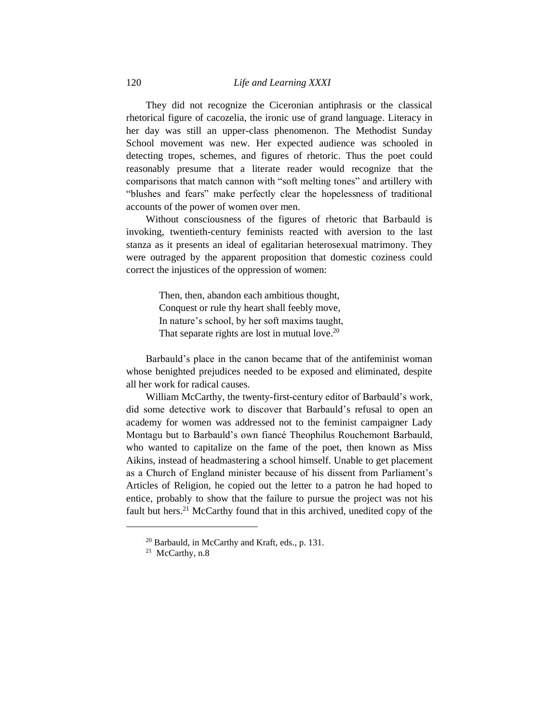They did not recognize the Ciceronian antiphrasis or the classical rhetorical figure of cacozelia, the ironic use of grand language. Literacy in her day was still an upper-class phenomenon. The Methodist Sunday School movement was new. Her expected audience was schooled in detecting tropes, schemes, and figures of rhetoric. Thus the poet could reasonably presume that a literate reader would recognize that the comparisons that match cannon with "soft melting tones" and artillery with "blushes and fears" make perfectly clear the hopelessness of traditional accounts of the power of women over men.

Without consciousness of the figures of rhetoric that Barbauld is invoking, twentieth-century feminists reacted with aversion to the last stanza as it presents an ideal of egalitarian heterosexual matrimony. They were outraged by the apparent proposition that domestic coziness could correct the injustices of the oppression of women:

> Then, then, abandon each ambitious thought, Conquest or rule thy heart shall feebly move, In nature's school, by her soft maxims taught, That separate rights are lost in mutual love.<sup>20</sup>

Barbauld's place in the canon became that of the antifeminist woman whose benighted prejudices needed to be exposed and eliminated, despite all her work for radical causes.

William McCarthy, the twenty-first-century editor of Barbauld's work, did some detective work to discover that Barbauld's refusal to open an academy for women was addressed not to the feminist campaigner Lady Montagu but to Barbauld's own fiancé Theophilus Rouchemont Barbauld, who wanted to capitalize on the fame of the poet, then known as Miss Aikins, instead of headmastering a school himself. Unable to get placement as a Church of England minister because of his dissent from Parliament's Articles of Religion, he copied out the letter to a patron he had hoped to entice, probably to show that the failure to pursue the project was not his fault but hers.<sup>21</sup> McCarthy found that in this archived, unedited copy of the

<sup>20</sup> Barbauld, in McCarthy and Kraft, eds., p. 131.

 $21$  McCarthy, n.8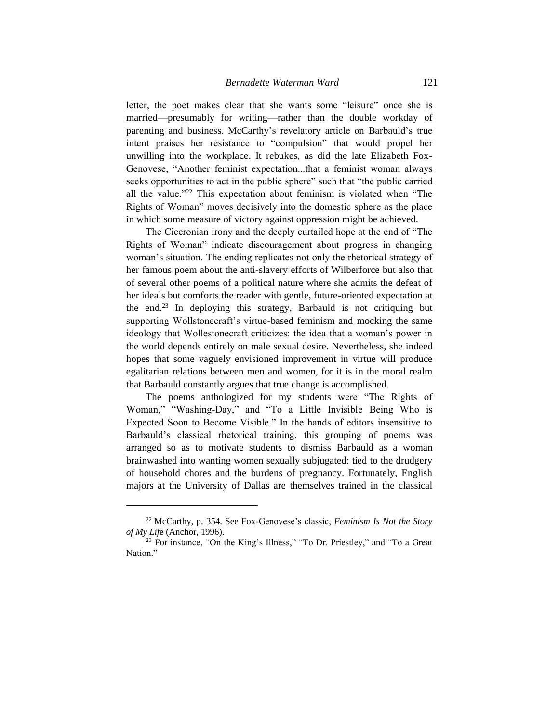letter, the poet makes clear that she wants some "leisure" once she is married—presumably for writing—rather than the double workday of parenting and business. McCarthy's revelatory article on Barbauld's true intent praises her resistance to "compulsion" that would propel her unwilling into the workplace. It rebukes, as did the late Elizabeth Fox-Genovese, "Another feminist expectation...that a feminist woman always seeks opportunities to act in the public sphere" such that "the public carried all the value."<sup>22</sup> This expectation about feminism is violated when "The Rights of Woman" moves decisively into the domestic sphere as the place in which some measure of victory against oppression might be achieved.

The Ciceronian irony and the deeply curtailed hope at the end of "The Rights of Woman" indicate discouragement about progress in changing woman's situation. The ending replicates not only the rhetorical strategy of her famous poem about the anti-slavery efforts of Wilberforce but also that of several other poems of a political nature where she admits the defeat of her ideals but comforts the reader with gentle, future-oriented expectation at the end.<sup>23</sup> In deploying this strategy, Barbauld is not critiquing but supporting Wollstonecraft's virtue-based feminism and mocking the same ideology that Wollestonecraft criticizes: the idea that a woman's power in the world depends entirely on male sexual desire. Nevertheless, she indeed hopes that some vaguely envisioned improvement in virtue will produce egalitarian relations between men and women, for it is in the moral realm that Barbauld constantly argues that true change is accomplished.

The poems anthologized for my students were "The Rights of Woman," "Washing-Day," and "To a Little Invisible Being Who is Expected Soon to Become Visible." In the hands of editors insensitive to Barbauld's classical rhetorical training, this grouping of poems was arranged so as to motivate students to dismiss Barbauld as a woman brainwashed into wanting women sexually subjugated: tied to the drudgery of household chores and the burdens of pregnancy. Fortunately, English majors at the University of Dallas are themselves trained in the classical

<sup>22</sup> McCarthy, p. 354. See Fox-Genovese's classic, *Feminism Is Not the Story of My Lif*e (Anchor, 1996).

<sup>&</sup>lt;sup>23</sup> For instance, "On the King's Illness," "To Dr. Priestley," and "To a Great Nation."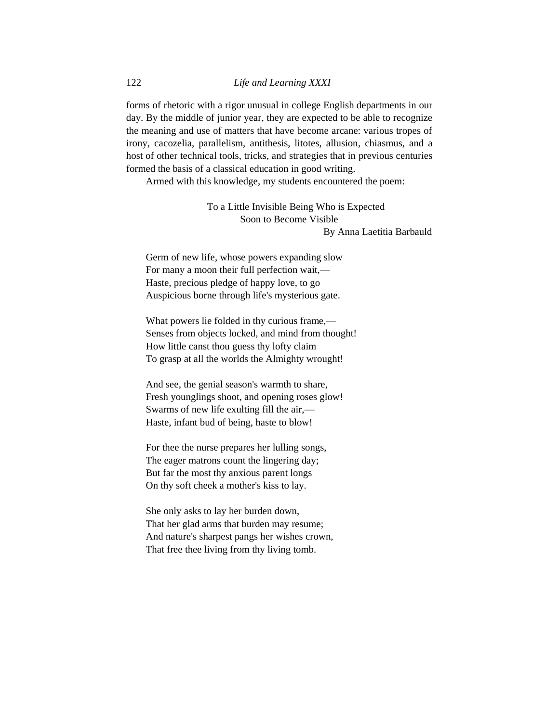forms of rhetoric with a rigor unusual in college English departments in our day. By the middle of junior year, they are expected to be able to recognize the meaning and use of matters that have become arcane: various tropes of irony, cacozelia, parallelism, antithesis, litotes, allusion, chiasmus, and a host of other technical tools, tricks, and strategies that in previous centuries formed the basis of a classical education in good writing.

Armed with this knowledge, my students encountered the poem:

To a Little Invisible Being Who is Expected Soon to Become Visible

By Anna Laetitia Barbauld

Germ of new life, whose powers expanding slow For many a moon their full perfection wait,— Haste, precious pledge of happy love, to go Auspicious borne through life's mysterious gate.

What powers lie folded in thy curious frame,— Senses from objects locked, and mind from thought! How little canst thou guess thy lofty claim To grasp at all the worlds the Almighty wrought!

And see, the genial season's warmth to share, Fresh younglings shoot, and opening roses glow! Swarms of new life exulting fill the air,— Haste, infant bud of being, haste to blow!

For thee the nurse prepares her lulling songs, The eager matrons count the lingering day; But far the most thy anxious parent longs On thy soft cheek a mother's kiss to lay.

She only asks to lay her burden down, That her glad arms that burden may resume; And nature's sharpest pangs her wishes crown, That free thee living from thy living tomb.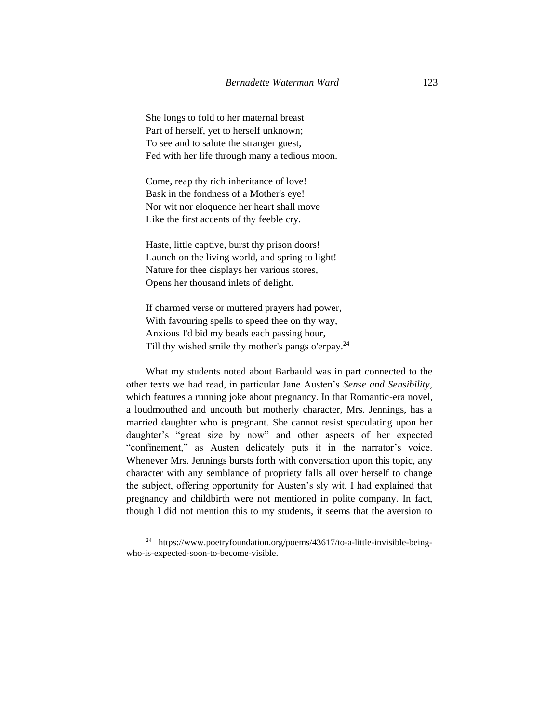She longs to fold to her maternal breast Part of herself, yet to herself unknown; To see and to salute the stranger guest, Fed with her life through many a tedious moon.

Come, reap thy rich inheritance of love! Bask in the fondness of a Mother's eye! Nor wit nor eloquence her heart shall move Like the first accents of thy feeble cry.

Haste, little captive, burst thy prison doors! Launch on the living world, and spring to light! Nature for thee displays her various stores, Opens her thousand inlets of delight.

If charmed verse or muttered prayers had power, With favouring spells to speed thee on thy way, Anxious I'd bid my beads each passing hour, Till thy wished smile thy mother's pangs o'erpay.<sup>24</sup>

What my students noted about Barbauld was in part connected to the other texts we had read, in particular Jane Austen's *Sense and Sensibility,* which features a running joke about pregnancy. In that Romantic-era novel, a loudmouthed and uncouth but motherly character, Mrs. Jennings, has a married daughter who is pregnant. She cannot resist speculating upon her daughter's "great size by now" and other aspects of her expected "confinement," as Austen delicately puts it in the narrator's voice. Whenever Mrs. Jennings bursts forth with conversation upon this topic, any character with any semblance of propriety falls all over herself to change the subject, offering opportunity for Austen's sly wit. I had explained that pregnancy and childbirth were not mentioned in polite company. In fact, though I did not mention this to my students, it seems that the aversion to

<sup>24</sup> https://www.poetryfoundation.org/poems/43617/to-a-little-invisible-beingwho-is-expected-soon-to-become-visible.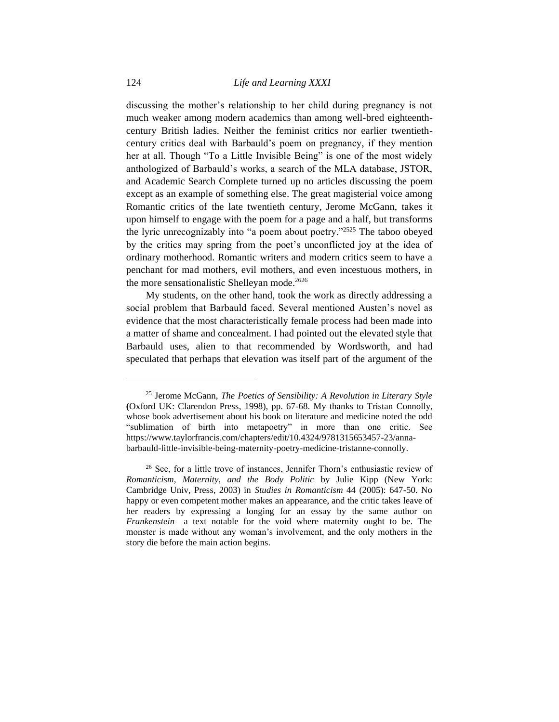discussing the mother's relationship to her child during pregnancy is not much weaker among modern academics than among well-bred eighteenthcentury British ladies. Neither the feminist critics nor earlier twentiethcentury critics deal with Barbauld's poem on pregnancy, if they mention her at all. Though "To a Little Invisible Being" is one of the most widely anthologized of Barbauld's works, a search of the MLA database, JSTOR, and Academic Search Complete turned up no articles discussing the poem except as an example of something else. The great magisterial voice among Romantic critics of the late twentieth century, Jerome McGann, takes it upon himself to engage with the poem for a page and a half, but transforms the lyric unrecognizably into "a poem about poetry."<sup>2525</sup> The taboo obeyed by the critics may spring from the poet's unconflicted joy at the idea of ordinary motherhood. Romantic writers and modern critics seem to have a penchant for mad mothers, evil mothers, and even incestuous mothers, in the more sensationalistic Shelleyan mode.<sup>2626</sup>

My students, on the other hand, took the work as directly addressing a social problem that Barbauld faced. Several mentioned Austen's novel as evidence that the most characteristically female process had been made into a matter of shame and concealment. I had pointed out the elevated style that Barbauld uses, alien to that recommended by Wordsworth, and had speculated that perhaps that elevation was itself part of the argument of the

<sup>25</sup> Jerome McGann, *The Poetics of Sensibility: A Revolution in Literary Style* **(**Oxford UK: Clarendon Press, 1998), pp. 67-68. My thanks to Tristan Connolly, whose book advertisement about his book on literature and medicine noted the odd "sublimation of birth into metapoetry" in more than one critic. See https://www.taylorfrancis.com/chapters/edit/10.4324/9781315653457-23/annabarbauld-little-invisible-being-maternity-poetry-medicine-tristanne-connolly.

<sup>26</sup> See, for a little trove of instances, Jennifer Thorn's enthusiastic review of *Romanticism, Maternity, and the Body Politic* by Julie Kipp (New York: Cambridge Univ, Press, 2003) in *Studies in Romanticism* 44 (2005): 647-50. No happy or even competent mother makes an appearance, and the critic takes leave of her readers by expressing a longing for an essay by the same author on *Frankenstein*—a text notable for the void where maternity ought to be. The monster is made without any woman's involvement, and the only mothers in the story die before the main action begins.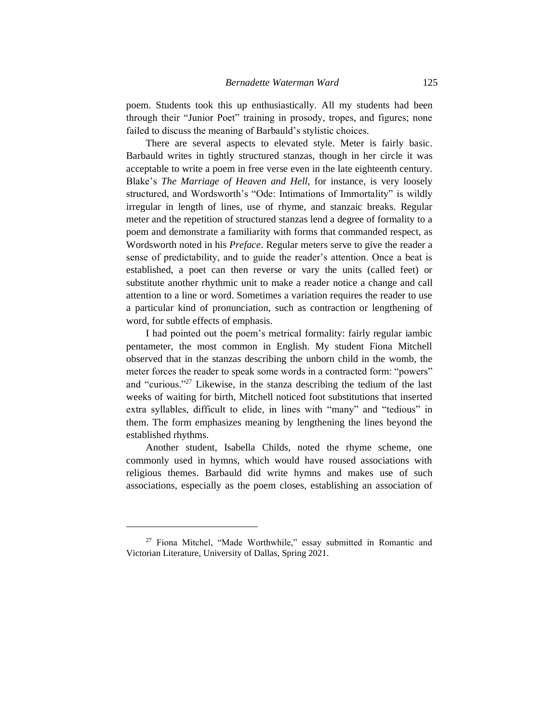poem. Students took this up enthusiastically. All my students had been through their "Junior Poet" training in prosody, tropes, and figures; none failed to discuss the meaning of Barbauld's stylistic choices.

There are several aspects to elevated style. Meter is fairly basic. Barbauld writes in tightly structured stanzas, though in her circle it was acceptable to write a poem in free verse even in the late eighteenth century. Blake's *The Marriage of Heaven and Hell,* for instance*,* is very loosely structured, and Wordsworth's "Ode: Intimations of Immortality" is wildly irregular in length of lines, use of rhyme, and stanzaic breaks. Regular meter and the repetition of structured stanzas lend a degree of formality to a poem and demonstrate a familiarity with forms that commanded respect, as Wordsworth noted in his *Preface*. Regular meters serve to give the reader a sense of predictability, and to guide the reader's attention. Once a beat is established, a poet can then reverse or vary the units (called feet) or substitute another rhythmic unit to make a reader notice a change and call attention to a line or word. Sometimes a variation requires the reader to use a particular kind of pronunciation, such as contraction or lengthening of word, for subtle effects of emphasis.

I had pointed out the poem's metrical formality: fairly regular iambic pentameter, the most common in English. My student Fiona Mitchell observed that in the stanzas describing the unborn child in the womb, the meter forces the reader to speak some words in a contracted form: "powers" and "curious."<sup>27</sup> Likewise, in the stanza describing the tedium of the last weeks of waiting for birth, Mitchell noticed foot substitutions that inserted extra syllables, difficult to elide, in lines with "many" and "tedious" in them. The form emphasizes meaning by lengthening the lines beyond the established rhythms.

Another student, Isabella Childs, noted the rhyme scheme, one commonly used in hymns, which would have roused associations with religious themes. Barbauld did write hymns and makes use of such associations, especially as the poem closes, establishing an association of

<sup>27</sup> Fiona Mitchel, "Made Worthwhile," essay submitted in Romantic and Victorian Literature, University of Dallas, Spring 2021.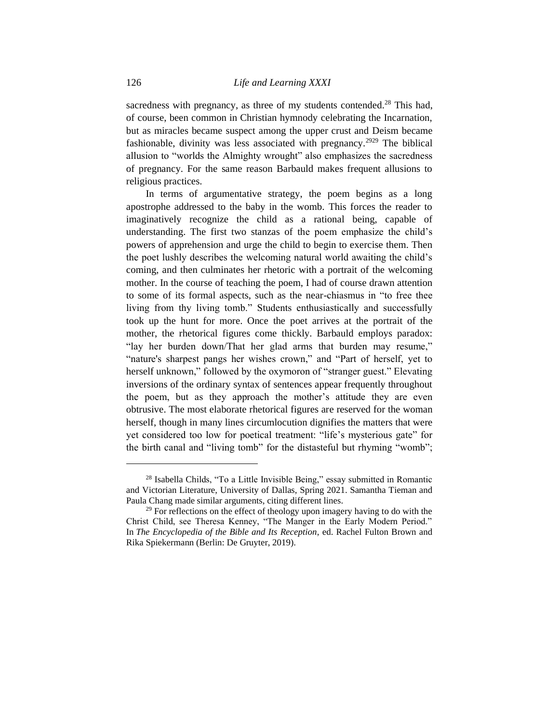sacredness with pregnancy, as three of my students contended.<sup>28</sup> This had, of course, been common in Christian hymnody celebrating the Incarnation, but as miracles became suspect among the upper crust and Deism became fashionable, divinity was less associated with pregnancy.<sup>2929</sup> The biblical allusion to "worlds the Almighty wrought" also emphasizes the sacredness of pregnancy. For the same reason Barbauld makes frequent allusions to religious practices.

In terms of argumentative strategy, the poem begins as a long apostrophe addressed to the baby in the womb. This forces the reader to imaginatively recognize the child as a rational being, capable of understanding. The first two stanzas of the poem emphasize the child's powers of apprehension and urge the child to begin to exercise them. Then the poet lushly describes the welcoming natural world awaiting the child's coming, and then culminates her rhetoric with a portrait of the welcoming mother. In the course of teaching the poem, I had of course drawn attention to some of its formal aspects, such as the near-chiasmus in "to free thee living from thy living tomb." Students enthusiastically and successfully took up the hunt for more. Once the poet arrives at the portrait of the mother, the rhetorical figures come thickly. Barbauld employs paradox: "lay her burden down/That her glad arms that burden may resume," "nature's sharpest pangs her wishes crown," and "Part of herself, yet to herself unknown," followed by the oxymoron of "stranger guest." Elevating inversions of the ordinary syntax of sentences appear frequently throughout the poem, but as they approach the mother's attitude they are even obtrusive. The most elaborate rhetorical figures are reserved for the woman herself, though in many lines circumlocution dignifies the matters that were yet considered too low for poetical treatment: "life's mysterious gate" for the birth canal and "living tomb" for the distasteful but rhyming "womb";

<sup>&</sup>lt;sup>28</sup> Isabella Childs, "To a Little Invisible Being," essay submitted in Romantic and Victorian Literature, University of Dallas, Spring 2021. Samantha Tieman and Paula Chang made similar arguments, citing different lines.

 $29$  For reflections on the effect of theology upon imagery having to do with the Christ Child, see Theresa Kenney, "The Manger in the Early Modern Period." In *The Encyclopedia of the Bible and Its Reception*, ed. Rachel Fulton Brown and Rika Spiekermann (Berlin: De Gruyter, 2019).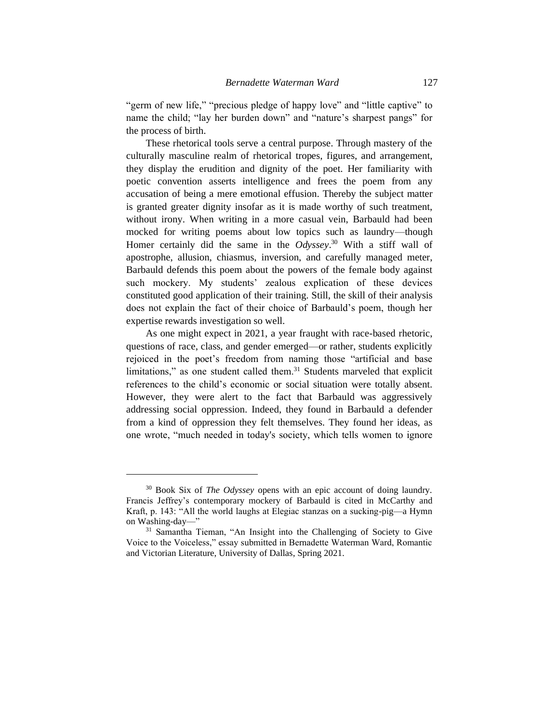"germ of new life," "precious pledge of happy love" and "little captive" to name the child; "lay her burden down" and "nature's sharpest pangs" for the process of birth.

These rhetorical tools serve a central purpose. Through mastery of the culturally masculine realm of rhetorical tropes, figures, and arrangement, they display the erudition and dignity of the poet. Her familiarity with poetic convention asserts intelligence and frees the poem from any accusation of being a mere emotional effusion. Thereby the subject matter is granted greater dignity insofar as it is made worthy of such treatment, without irony. When writing in a more casual vein, Barbauld had been mocked for writing poems about low topics such as laundry—though Homer certainly did the same in the *Odyssey*. <sup>30</sup> With a stiff wall of apostrophe, allusion, chiasmus, inversion, and carefully managed meter, Barbauld defends this poem about the powers of the female body against such mockery. My students' zealous explication of these devices constituted good application of their training. Still, the skill of their analysis does not explain the fact of their choice of Barbauld's poem, though her expertise rewards investigation so well.

As one might expect in 2021, a year fraught with race-based rhetoric, questions of race, class, and gender emerged—or rather, students explicitly rejoiced in the poet's freedom from naming those "artificial and base limitations," as one student called them.<sup>31</sup> Students marveled that explicit references to the child's economic or social situation were totally absent. However, they were alert to the fact that Barbauld was aggressively addressing social oppression. Indeed, they found in Barbauld a defender from a kind of oppression they felt themselves. They found her ideas, as one wrote, "much needed in today's society, which tells women to ignore

<sup>30</sup> Book Six of *The Odyssey* opens with an epic account of doing laundry. Francis Jeffrey's contemporary mockery of Barbauld is cited in McCarthy and Kraft, p. 143: "All the world laughs at Elegiac stanzas on a sucking-pig—a Hymn on Washing-day—"

<sup>&</sup>lt;sup>31</sup> Samantha Tieman, "An Insight into the Challenging of Society to Give Voice to the Voiceless," essay submitted in Bernadette Waterman Ward, Romantic and Victorian Literature, University of Dallas, Spring 2021.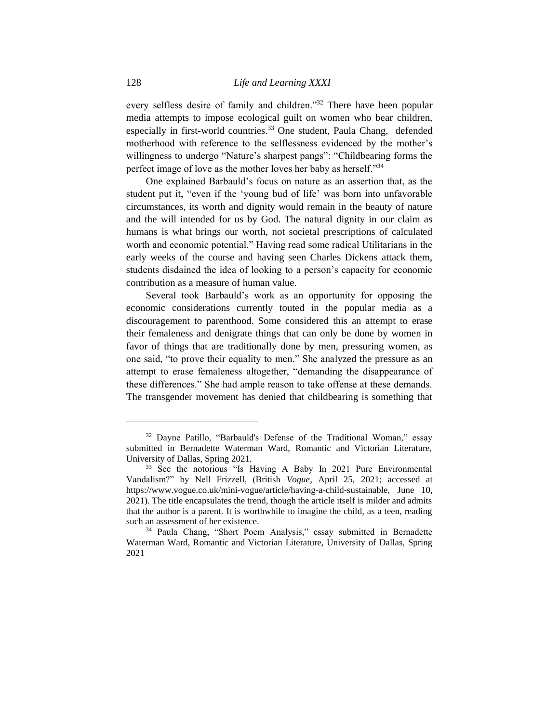every selfless desire of family and children."<sup>32</sup> There have been popular media attempts to impose ecological guilt on women who bear children, especially in first-world countries.<sup>33</sup> One student, Paula Chang, defended motherhood with reference to the selflessness evidenced by the mother's willingness to undergo "Nature's sharpest pangs": "Childbearing forms the perfect image of love as the mother loves her baby as herself."<sup>34</sup>

One explained Barbauld's focus on nature as an assertion that, as the student put it, "even if the 'young bud of life' was born into unfavorable circumstances, its worth and dignity would remain in the beauty of nature and the will intended for us by God. The natural dignity in our claim as humans is what brings our worth, not societal prescriptions of calculated worth and economic potential." Having read some radical Utilitarians in the early weeks of the course and having seen Charles Dickens attack them, students disdained the idea of looking to a person's capacity for economic contribution as a measure of human value.

Several took Barbauld's work as an opportunity for opposing the economic considerations currently touted in the popular media as a discouragement to parenthood. Some considered this an attempt to erase their femaleness and denigrate things that can only be done by women in favor of things that are traditionally done by men, pressuring women, as one said, "to prove their equality to men." She analyzed the pressure as an attempt to erase femaleness altogether, "demanding the disappearance of these differences." She had ample reason to take offense at these demands. The transgender movement has denied that childbearing is something that

<sup>32</sup> Dayne Patillo, "Barbauld's Defense of the Traditional Woman," essay submitted in Bernadette Waterman Ward, Romantic and Victorian Literature, University of Dallas, Spring 2021.

<sup>&</sup>lt;sup>33</sup> See the notorious "Is Having A Baby In 2021 Pure Environmental Vandalism?" by Nell Frizzell, (British *Vogue*, April 25, 2021; accessed at https://www.vogue.co.uk/mini-vogue/article/having-a-child-sustainable, June 10, 2021). The title encapsulates the trend, though the article itself is milder and admits that the author is a parent. It is worthwhile to imagine the child, as a teen, reading such an assessment of her existence.

<sup>34</sup> Paula Chang, "Short Poem Analysis," essay submitted in Bernadette Waterman Ward, Romantic and Victorian Literature, University of Dallas, Spring 2021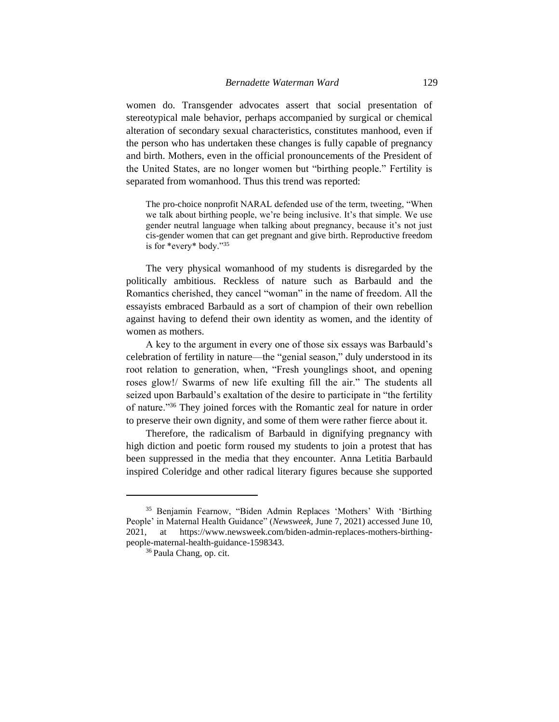women do. Transgender advocates assert that social presentation of stereotypical male behavior, perhaps accompanied by surgical or chemical alteration of secondary sexual characteristics, constitutes manhood, even if the person who has undertaken these changes is fully capable of pregnancy and birth. Mothers, even in the official pronouncements of the President of the United States, are no longer women but "birthing people." Fertility is separated from womanhood. Thus this trend was reported:

The pro-choice nonprofit NARAL defended use of the term, tweeting, "When we talk about birthing people, we're being inclusive. It's that simple. We use gender neutral language when talking about pregnancy, because it's not just cis-gender women that can get pregnant and give birth. Reproductive freedom is for \*every\* body."<sup>35</sup>

The very physical womanhood of my students is disregarded by the politically ambitious. Reckless of nature such as Barbauld and the Romantics cherished, they cancel "woman" in the name of freedom. All the essayists embraced Barbauld as a sort of champion of their own rebellion against having to defend their own identity as women, and the identity of women as mothers.

A key to the argument in every one of those six essays was Barbauld's celebration of fertility in nature—the "genial season," duly understood in its root relation to generation, when, "Fresh younglings shoot, and opening roses glow!/ Swarms of new life exulting fill the air." The students all seized upon Barbauld's exaltation of the desire to participate in "the fertility of nature."<sup>36</sup> They joined forces with the Romantic zeal for nature in order to preserve their own dignity, and some of them were rather fierce about it.

Therefore, the radicalism of Barbauld in dignifying pregnancy with high diction and poetic form roused my students to join a protest that has been suppressed in the media that they encounter. Anna Letitia Barbauld inspired Coleridge and other radical literary figures because she supported

<sup>35</sup> Benjamin Fearnow, "Biden Admin Replaces 'Mothers' With 'Birthing People' in Maternal Health Guidance" (*Newsweek*, June 7, 2021) accessed June 10, 2021, at https://www.newsweek.com/biden-admin-replaces-mothers-birthingpeople-maternal-health-guidance-1598343.

<sup>&</sup>lt;sup>36</sup> Paula Chang, op. cit.